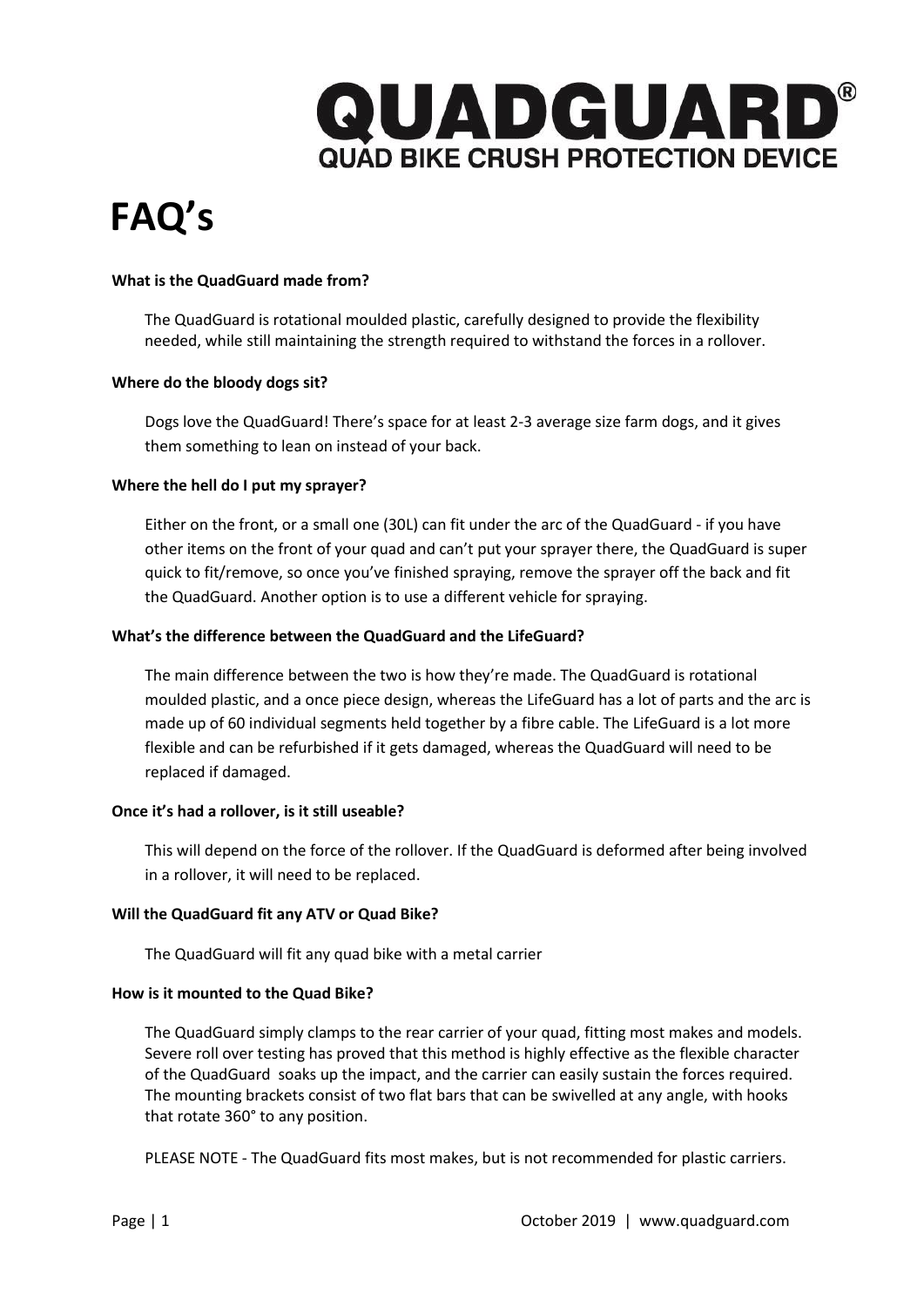

# **FAQ's**

### **What is the QuadGuard made from?**

The QuadGuard is rotational moulded plastic, carefully designed to provide the flexibility needed, while still maintaining the strength required to withstand the forces in a rollover.

### **Where do the bloody dogs sit?**

Dogs love the QuadGuard! There's space for at least 2-3 average size farm dogs, and it gives them something to lean on instead of your back.

### **Where the hell do I put my sprayer?**

Either on the front, or a small one (30L) can fit under the arc of the QuadGuard - if you have other items on the front of your quad and can't put your sprayer there, the QuadGuard is super quick to fit/remove, so once you've finished spraying, remove the sprayer off the back and fit the QuadGuard. Another option is to use a different vehicle for spraying.

### **What's the difference between the QuadGuard and the LifeGuard?**

The main difference between the two is how they're made. The QuadGuard is rotational moulded plastic, and a once piece design, whereas the LifeGuard has a lot of parts and the arc is made up of 60 individual segments held together by a fibre cable. The LifeGuard is a lot more flexible and can be refurbished if it gets damaged, whereas the QuadGuard will need to be replaced if damaged.

### **Once it's had a rollover, is it still useable?**

This will depend on the force of the rollover. If the QuadGuard is deformed after being involved in a rollover, it will need to be replaced.

### **Will the QuadGuard fit any ATV or Quad Bike?**

The QuadGuard will fit any quad bike with a metal carrier

### **How is it mounted to the Quad Bike?**

The QuadGuard simply clamps to the rear carrier of your quad, fitting most makes and models. Severe roll over testing has proved that this method is highly effective as the flexible character of the QuadGuard soaks up the impact, and the carrier can easily sustain the forces required. The mounting brackets consist of two flat bars that can be swivelled at any angle, with hooks that rotate 360° to any position.

PLEASE NOTE - The QuadGuard fits most makes, but is not recommended for plastic carriers.